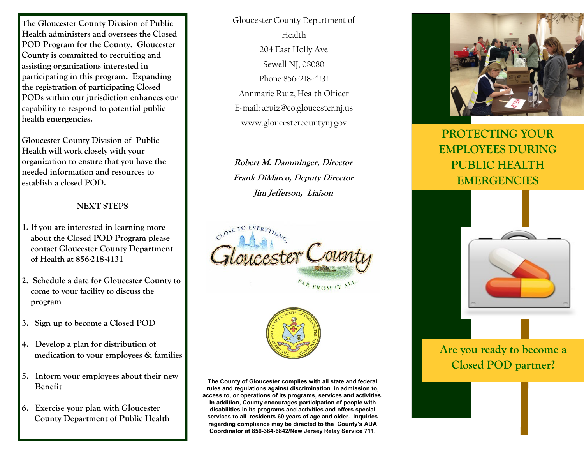**The Gloucester County Division of Public Health administers and oversees the Closed POD Program for the County. Gloucester County is committed to recruiting and assisting organizations interested in participating in this program. Expanding the registration of participating Closed PODs within our jurisdiction enhances our capability to respond to potential public health emergencies.**

**Gloucester County Division of Public Health will work closely with your organization to ensure that you have the needed information and resources to establish a closed POD.** 

#### **NEXT STEPS**

- **1. If you are interested in learning more about the Closed POD Program please contact Gloucester County Department of Health at 856-218-4131**
- **2. Schedule a date for Gloucester County to come to your facility to discuss the program**
- **3. Sign up to become a Closed POD**
- **4. Develop a plan for distribution of medication to your employees & families**
- **5. Inform your employees about their new Benefit**
- **6. Exercise your plan with Gloucester County Department of Public Health**

Gloucester County Department of Health 204 East Holly Ave Sewell NJ, 08080 Phone:856-218-4131 Annmarie Ruiz, Health Officer E-mail: aruiz@co.gloucester.nj.us www.gloucestercountynj.gov

**Robert M. Damminger, Director Frank DiMarco, Deputy Director Jim Jefferson, Liaison**





**The County of Gloucester complies with all state and federal rules and regulations against discrimination in admission to, access to, or operations of its programs, services and activities. In addition, County encourages participation of people with disabilities in its programs and activities and offers special services to all residents 60 years of age and older. Inquiries regarding compliance may be directed to the County's ADA Coordinator at 856-384-6842/New Jersey Relay Service 711.** 



**PROTECTING YOUR EMPLOYEES DURING PUBLIC HEALTH EMERGENCIES**



## **Are you ready to become a Closed POD partner?**